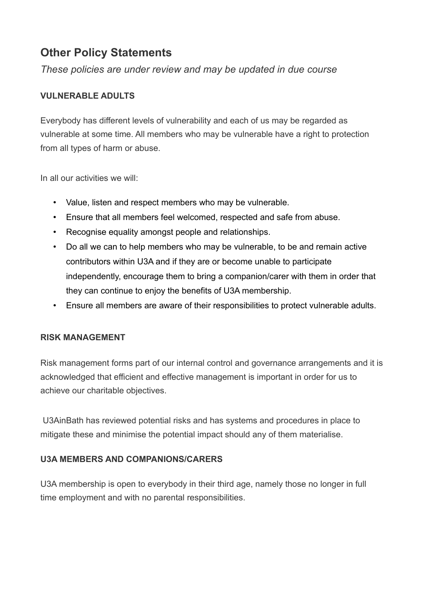# **Other Policy Statements**

*These policies are under review and may be updated in due course*

## **VULNERABLE ADULTS**

Everybody has different levels of vulnerability and each of us may be regarded as vulnerable at some time. All members who may be vulnerable have a right to protection from all types of harm or abuse.

In all our activities we will:

- Value, listen and respect members who may be vulnerable.
- Ensure that all members feel welcomed, respected and safe from abuse.
- Recognise equality amongst people and relationships.
- Do all we can to help members who may be vulnerable, to be and remain active contributors within U3A and if they are or become unable to participate independently, encourage them to bring a companion/carer with them in order that they can continue to enjoy the benefits of U3A membership.
- Ensure all members are aware of their responsibilities to protect vulnerable adults.

### **RISK MANAGEMENT**

Risk management forms part of our internal control and governance arrangements and it is acknowledged that efficient and effective management is important in order for us to achieve our charitable objectives.

 U3AinBath has reviewed potential risks and has systems and procedures in place to mitigate these and minimise the potential impact should any of them materialise.

### **U3A MEMBERS AND COMPANIONS/CARERS**

U3A membership is open to everybody in their third age, namely those no longer in full time employment and with no parental responsibilities.